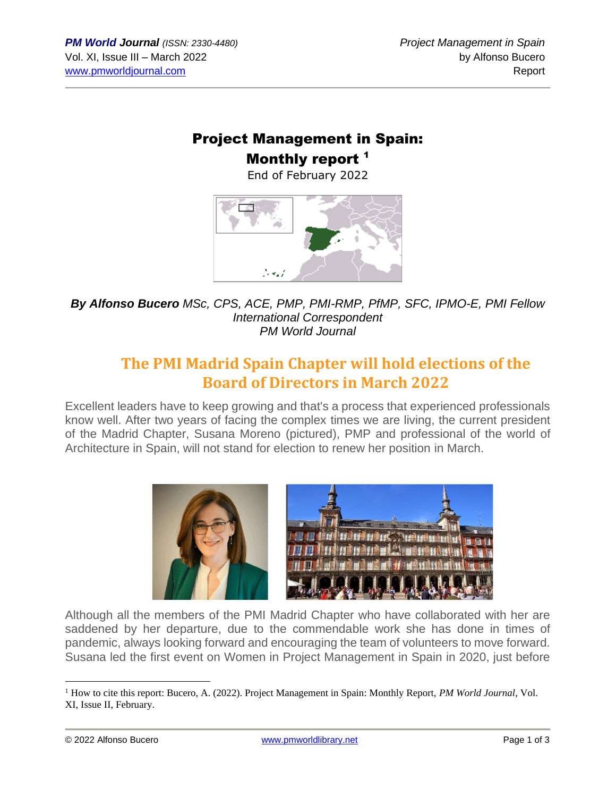# Project Management in Spain: Monthly report<sup>1</sup>

End of February 2022



*By Alfonso Bucero MSc, CPS, ACE, PMP, PMI-RMP, PfMP, SFC, IPMO-E, PMI Fellow International Correspondent PM World Journal*

# **The PMI Madrid Spain Chapter will hold elections of the Board of Directors in March 2022**

Excellent leaders have to keep growing and that's a process that experienced professionals know well. After two years of facing the complex times we are living, the current president of the Madrid Chapter, Susana Moreno (pictured), PMP and professional of the world of Architecture in Spain, will not stand for election to renew her position in March.



Although all the members of the PMI Madrid Chapter who have collaborated with her are saddened by her departure, due to the commendable work she has done in times of pandemic, always looking forward and encouraging the team of volunteers to move forward. Susana led the first event on Women in Project Management in Spain in 2020, just before

<sup>1</sup> How to cite this report: Bucero, A. (2022). Project Management in Spain: Monthly Report, *PM World Journal*, Vol. XI, Issue II, February.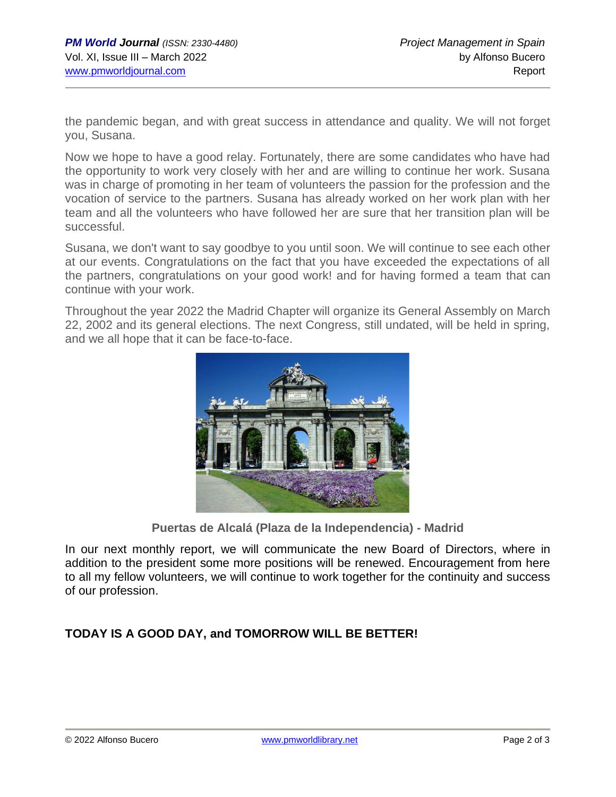the pandemic began, and with great success in attendance and quality. We will not forget you, Susana.

Now we hope to have a good relay. Fortunately, there are some candidates who have had the opportunity to work very closely with her and are willing to continue her work. Susana was in charge of promoting in her team of volunteers the passion for the profession and the vocation of service to the partners. Susana has already worked on her work plan with her team and all the volunteers who have followed her are sure that her transition plan will be successful.

Susana, we don't want to say goodbye to you until soon. We will continue to see each other at our events. Congratulations on the fact that you have exceeded the expectations of all the partners, congratulations on your good work! and for having formed a team that can continue with your work.

Throughout the year 2022 the Madrid Chapter will organize its General Assembly on March 22, 2002 and its general elections. The next Congress, still undated, will be held in spring, and we all hope that it can be face-to-face.



**Puertas de Alcalá (Plaza de la Independencia) - Madrid**

In our next monthly report, we will communicate the new Board of Directors, where in addition to the president some more positions will be renewed. Encouragement from here to all my fellow volunteers, we will continue to work together for the continuity and success of our profession.

#### **TODAY IS A GOOD DAY, and TOMORROW WILL BE BETTER!**